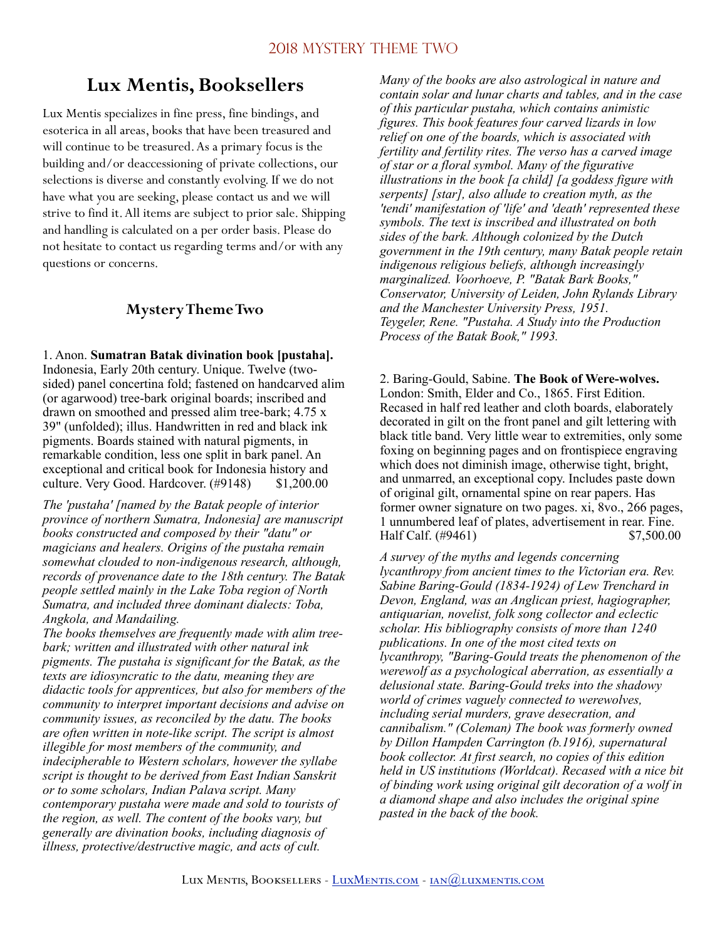# **Lux Mentis, Booksellers**

Lux Mentis specializes in fine press, fine bindings, and esoterica in all areas, books that have been treasured and will continue to be treasured. As a primary focus is the building and/or deaccessioning of private collections, our selections is diverse and constantly evolving. If we do not have what you are seeking, please contact us and we will strive to find it. All items are subject to prior sale. Shipping and handling is calculated on a per order basis. Please do not hesitate to contact us regarding terms and/or with any questions or concerns.

### **Mystery Theme Two**

1. Anon. **Sumatran Batak divination book [pustaha].**  Indonesia, Early 20th century. Unique. Twelve (twosided) panel concertina fold; fastened on handcarved alim (or agarwood) tree-bark original boards; inscribed and drawn on smoothed and pressed alim tree-bark; 4.75 x 39" (unfolded); illus. Handwritten in red and black ink pigments. Boards stained with natural pigments, in remarkable condition, less one split in bark panel. An exceptional and critical book for Indonesia history and culture. Very Good. Hardcover. (#9148) \$1,200.00

*The 'pustaha' [named by the Batak people of interior province of northern Sumatra, Indonesia] are manuscript books constructed and composed by their "datu" or magicians and healers. Origins of the pustaha remain somewhat clouded to non-indigenous research, although, records of provenance date to the 18th century. The Batak people settled mainly in the Lake Toba region of North Sumatra, and included three dominant dialects: Toba, Angkola, and Mandailing.* 

*The books themselves are frequently made with alim treebark; written and illustrated with other natural ink pigments. The pustaha is significant for the Batak, as the texts are idiosyncratic to the datu, meaning they are didactic tools for apprentices, but also for members of the community to interpret important decisions and advise on community issues, as reconciled by the datu. The books are often written in note-like script. The script is almost illegible for most members of the community, and indecipherable to Western scholars, however the syllabe script is thought to be derived from East Indian Sanskrit or to some scholars, Indian Palava script. Many contemporary pustaha were made and sold to tourists of the region, as well. The content of the books vary, but generally are divination books, including diagnosis of illness, protective/destructive magic, and acts of cult.* 

*Many of the books are also astrological in nature and contain solar and lunar charts and tables, and in the case of this particular pustaha, which contains animistic figures. This book features four carved lizards in low relief on one of the boards, which is associated with fertility and fertility rites. The verso has a carved image of star or a floral symbol. Many of the figurative illustrations in the book [a child] [a goddess figure with serpents] [star], also allude to creation myth, as the 'tendi' manifestation of 'life' and 'death' represented these symbols. The text is inscribed and illustrated on both sides of the bark. Although colonized by the Dutch government in the 19th century, many Batak people retain indigenous religious beliefs, although increasingly marginalized. Voorhoeve, P. "Batak Bark Books," Conservator, University of Leiden, John Rylands Library and the Manchester University Press, 1951. Teygeler, Rene. "Pustaha. A Study into the Production Process of the Batak Book," 1993.* 

2. Baring-Gould, Sabine. **The Book of Were-wolves.** London: Smith, Elder and Co., 1865. First Edition. Recased in half red leather and cloth boards, elaborately decorated in gilt on the front panel and gilt lettering with black title band. Very little wear to extremities, only some foxing on beginning pages and on frontispiece engraving which does not diminish image, otherwise tight, bright, and unmarred, an exceptional copy. Includes paste down of original gilt, ornamental spine on rear papers. Has former owner signature on two pages. xi, 8vo., 266 pages, 1 unnumbered leaf of plates, advertisement in rear. Fine. Half Calf. (#9461) \$7,500.00

*A survey of the myths and legends concerning lycanthropy from ancient times to the Victorian era. Rev. Sabine Baring-Gould (1834-1924) of Lew Trenchard in Devon, England, was an Anglican priest, hagiographer, antiquarian, novelist, folk song collector and eclectic scholar. His bibliography consists of more than 1240 publications. In one of the most cited texts on lycanthropy, "Baring-Gould treats the phenomenon of the werewolf as a psychological aberration, as essentially a delusional state. Baring-Gould treks into the shadowy world of crimes vaguely connected to werewolves, including serial murders, grave desecration, and cannibalism." (Coleman) The book was formerly owned by Dillon Hampden Carrington (b.1916), supernatural book collector. At first search, no copies of this edition held in US institutions (Worldcat). Recased with a nice bit of binding work using original gilt decoration of a wolf in a diamond shape and also includes the original spine pasted in the back of the book.*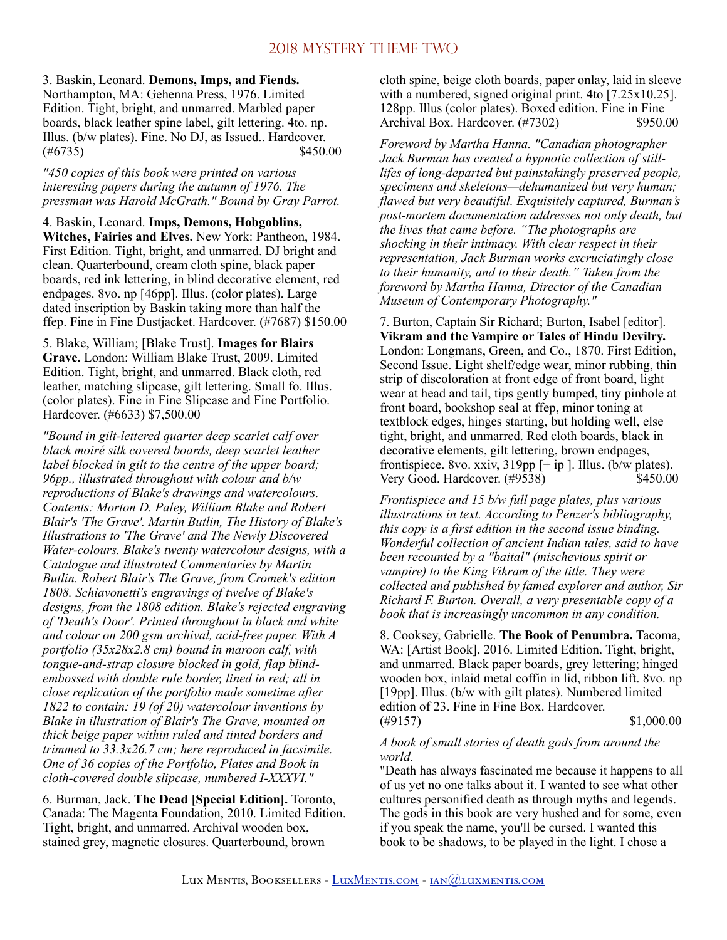3. Baskin, Leonard. **Demons, Imps, and Fiends.**  Northampton, MA: Gehenna Press, 1976. Limited Edition. Tight, bright, and unmarred. Marbled paper boards, black leather spine label, gilt lettering. 4to. np. Illus. (b/w plates). Fine. No DJ, as Issued.. Hardcover.  $(\#6735)$  \$450.00

*"450 copies of this book were printed on various interesting papers during the autumn of 1976. The pressman was Harold McGrath." Bound by Gray Parrot.* 

4. Baskin, Leonard. **Imps, Demons, Hobgoblins, Witches, Fairies and Elves.** New York: Pantheon, 1984. First Edition. Tight, bright, and unmarred. DJ bright and clean. Quarterbound, cream cloth spine, black paper boards, red ink lettering, in blind decorative element, red endpages. 8vo. np [46pp]. Illus. (color plates). Large dated inscription by Baskin taking more than half the ffep. Fine in Fine Dustjacket. Hardcover. (#7687) \$150.00

5. Blake, William; [Blake Trust]. **Images for Blairs Grave.** London: William Blake Trust, 2009. Limited Edition. Tight, bright, and unmarred. Black cloth, red leather, matching slipcase, gilt lettering. Small fo. Illus. (color plates). Fine in Fine Slipcase and Fine Portfolio. Hardcover. (#6633) \$7,500.00

*"Bound in gilt-lettered quarter deep scarlet calf over black moiré silk covered boards, deep scarlet leather label blocked in gilt to the centre of the upper board; 96pp., illustrated throughout with colour and b/w reproductions of Blake's drawings and watercolours. Contents: Morton D. Paley, William Blake and Robert Blair's 'The Grave'. Martin Butlin, The History of Blake's Illustrations to 'The Grave' and The Newly Discovered Water-colours. Blake's twenty watercolour designs, with a Catalogue and illustrated Commentaries by Martin Butlin. Robert Blair's The Grave, from Cromek's edition 1808. Schiavonetti's engravings of twelve of Blake's designs, from the 1808 edition. Blake's rejected engraving of 'Death's Door'. Printed throughout in black and white and colour on 200 gsm archival, acid-free paper. With A portfolio (35x28x2.8 cm) bound in maroon calf, with tongue-and-strap closure blocked in gold, flap blindembossed with double rule border, lined in red; all in close replication of the portfolio made sometime after 1822 to contain: 19 (of 20) watercolour inventions by Blake in illustration of Blair's The Grave, mounted on thick beige paper within ruled and tinted borders and trimmed to 33.3x26.7 cm; here reproduced in facsimile. One of 36 copies of the Portfolio, Plates and Book in cloth-covered double slipcase, numbered I-XXXVI."* 

6. Burman, Jack. **The Dead [Special Edition].** Toronto, Canada: The Magenta Foundation, 2010. Limited Edition. Tight, bright, and unmarred. Archival wooden box, stained grey, magnetic closures. Quarterbound, brown

cloth spine, beige cloth boards, paper onlay, laid in sleeve with a numbered, signed original print. 4to [7.25x10.25]. 128pp. Illus (color plates). Boxed edition. Fine in Fine Archival Box. Hardcover. (#7302) \$950.00

*Foreword by Martha Hanna. "Canadian photographer Jack Burman has created a hypnotic collection of stilllifes of long-departed but painstakingly preserved people, specimens and skeletons—dehumanized but very human; flawed but very beautiful. Exquisitely captured, Burman's post-mortem documentation addresses not only death, but the lives that came before. "The photographs are shocking in their intimacy. With clear respect in their representation, Jack Burman works excruciatingly close to their humanity, and to their death." Taken from the foreword by Martha Hanna, Director of the Canadian Museum of Contemporary Photography."* 

7. Burton, Captain Sir Richard; Burton, Isabel [editor]. **Vikram and the Vampire or Tales of Hindu Devilry.**  London: Longmans, Green, and Co., 1870. First Edition, Second Issue. Light shelf/edge wear, minor rubbing, thin strip of discoloration at front edge of front board, light wear at head and tail, tips gently bumped, tiny pinhole at front board, bookshop seal at ffep, minor toning at textblock edges, hinges starting, but holding well, else tight, bright, and unmarred. Red cloth boards, black in decorative elements, gilt lettering, brown endpages, frontispiece. 8vo. xxiv, 319pp [+ ip ]. Illus. (b/w plates). Very Good. Hardcover. (#9538) \$450.00

*Frontispiece and 15 b/w full page plates, plus various illustrations in text. According to Penzer's bibliography, this copy is a first edition in the second issue binding. Wonderful collection of ancient Indian tales, said to have been recounted by a "baital" (mischevious spirit or vampire) to the King Vikram of the title. They were collected and published by famed explorer and author, Sir Richard F. Burton. Overall, a very presentable copy of a book that is increasingly uncommon in any condition.* 

8. Cooksey, Gabrielle. **The Book of Penumbra.** Tacoma, WA: [Artist Book], 2016. Limited Edition. Tight, bright, and unmarred. Black paper boards, grey lettering; hinged wooden box, inlaid metal coffin in lid, ribbon lift. 8vo. np [19pp]. Illus. (b/w with gilt plates). Numbered limited edition of 23. Fine in Fine Box. Hardcover.  $\textcircled{49157}$  \$1,000.00

#### *A book of small stories of death gods from around the world.*

"Death has always fascinated me because it happens to all of us yet no one talks about it. I wanted to see what other cultures personified death as through myths and legends. The gods in this book are very hushed and for some, even if you speak the name, you'll be cursed. I wanted this book to be shadows, to be played in the light. I chose a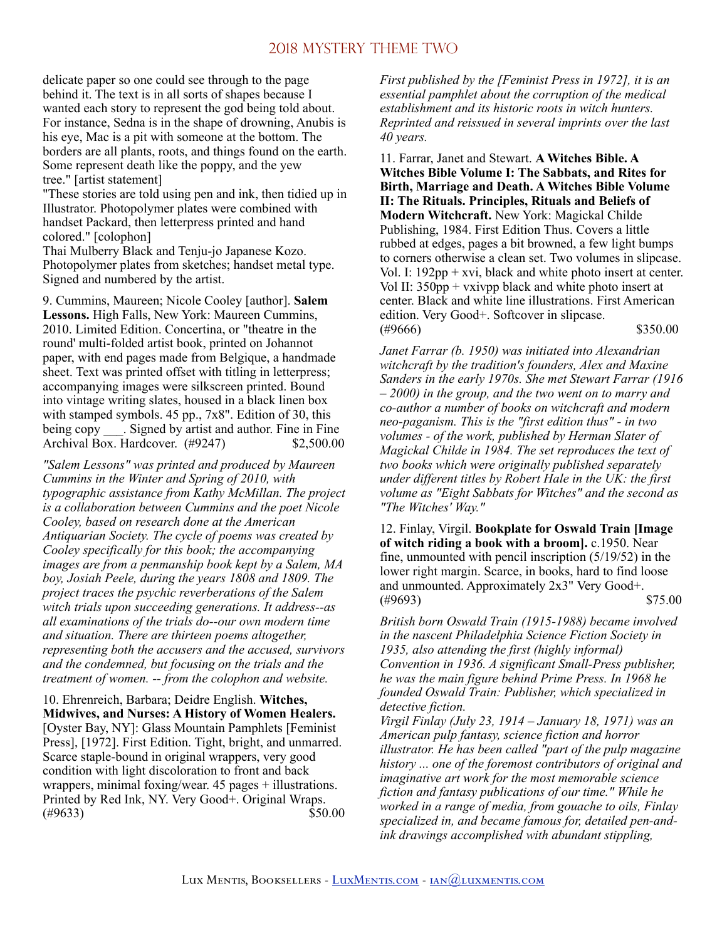delicate paper so one could see through to the page behind it. The text is in all sorts of shapes because I wanted each story to represent the god being told about. For instance, Sedna is in the shape of drowning, Anubis is his eye, Mac is a pit with someone at the bottom. The borders are all plants, roots, and things found on the earth. Some represent death like the poppy, and the yew tree." [artist statement]

"These stories are told using pen and ink, then tidied up in Illustrator. Photopolymer plates were combined with handset Packard, then letterpress printed and hand colored." [colophon]

Thai Mulberry Black and Tenju-jo Japanese Kozo. Photopolymer plates from sketches; handset metal type. Signed and numbered by the artist.

9. Cummins, Maureen; Nicole Cooley [author]. **Salem Lessons.** High Falls, New York: Maureen Cummins, 2010. Limited Edition. Concertina, or "theatre in the round' multi-folded artist book, printed on Johannot paper, with end pages made from Belgique, a handmade sheet. Text was printed offset with titling in letterpress; accompanying images were silkscreen printed. Bound into vintage writing slates, housed in a black linen box with stamped symbols. 45 pp., 7x8". Edition of 30, this being copy . Signed by artist and author. Fine in Fine Archival Box. Hardcover. (#9247) \$2,500.00

*"Salem Lessons" was printed and produced by Maureen Cummins in the Winter and Spring of 2010, with typographic assistance from Kathy McMillan. The project is a collaboration between Cummins and the poet Nicole Cooley, based on research done at the American Antiquarian Society. The cycle of poems was created by Cooley specifically for this book; the accompanying images are from a penmanship book kept by a Salem, MA boy, Josiah Peele, during the years 1808 and 1809. The project traces the psychic reverberations of the Salem witch trials upon succeeding generations. It address--as all examinations of the trials do--our own modern time and situation. There are thirteen poems altogether, representing both the accusers and the accused, survivors and the condemned, but focusing on the trials and the treatment of women. -- from the colophon and website.* 

10. Ehrenreich, Barbara; Deidre English. **Witches, Midwives, and Nurses: A History of Women Healers.**  [Oyster Bay, NY]: Glass Mountain Pamphlets [Feminist Press], [1972]. First Edition. Tight, bright, and unmarred. Scarce staple-bound in original wrappers, very good condition with light discoloration to front and back wrappers, minimal foxing/wear. 45 pages + illustrations. Printed by Red Ink, NY. Very Good+. Original Wraps.  $(\#9633)$  \$50.00 *First published by the [Feminist Press in 1972], it is an essential pamphlet about the corruption of the medical establishment and its historic roots in witch hunters. Reprinted and reissued in several imprints over the last 40 years.* 

11. Farrar, Janet and Stewart. **A Witches Bible. A Witches Bible Volume I: The Sabbats, and Rites for Birth, Marriage and Death. A Witches Bible Volume II: The Rituals. Principles, Rituals and Beliefs of Modern Witchcraft.** New York: Magickal Childe Publishing, 1984. First Edition Thus. Covers a little rubbed at edges, pages a bit browned, a few light bumps to corners otherwise a clean set. Two volumes in slipcase. Vol. I: 192pp + xvi, black and white photo insert at center. Vol II: 350pp + vxivpp black and white photo insert at center. Black and white line illustrations. First American edition. Very Good+. Softcover in slipcase.  $(\#9666)$  \$350.00

*Janet Farrar (b. 1950) was initiated into Alexandrian witchcraft by the tradition's founders, Alex and Maxine Sanders in the early 1970s. She met Stewart Farrar (1916 – 2000) in the group, and the two went on to marry and co-author a number of books on witchcraft and modern neo-paganism. This is the "first edition thus" - in two volumes - of the work, published by Herman Slater of Magickal Childe in 1984. The set reproduces the text of two books which were originally published separately under different titles by Robert Hale in the UK: the first volume as "Eight Sabbats for Witches" and the second as "The Witches' Way."* 

12. Finlay, Virgil. **Bookplate for Oswald Train [Image of witch riding a book with a broom].** c.1950. Near fine, unmounted with pencil inscription (5/19/52) in the lower right margin. Scarce, in books, hard to find loose and unmounted. Approximately 2x3" Very Good+.  $(*9693)$  \$75.00

*British born Oswald Train (1915-1988) became involved in the nascent Philadelphia Science Fiction Society in 1935, also attending the first (highly informal) Convention in 1936. A significant Small-Press publisher, he was the main figure behind Prime Press. In 1968 he founded Oswald Train: Publisher, which specialized in detective fiction.* 

*Virgil Finlay (July 23, 1914 – January 18, 1971) was an American pulp fantasy, science fiction and horror illustrator. He has been called "part of the pulp magazine history ... one of the foremost contributors of original and imaginative art work for the most memorable science fiction and fantasy publications of our time." While he worked in a range of media, from gouache to oils, Finlay specialized in, and became famous for, detailed pen-andink drawings accomplished with abundant stippling,*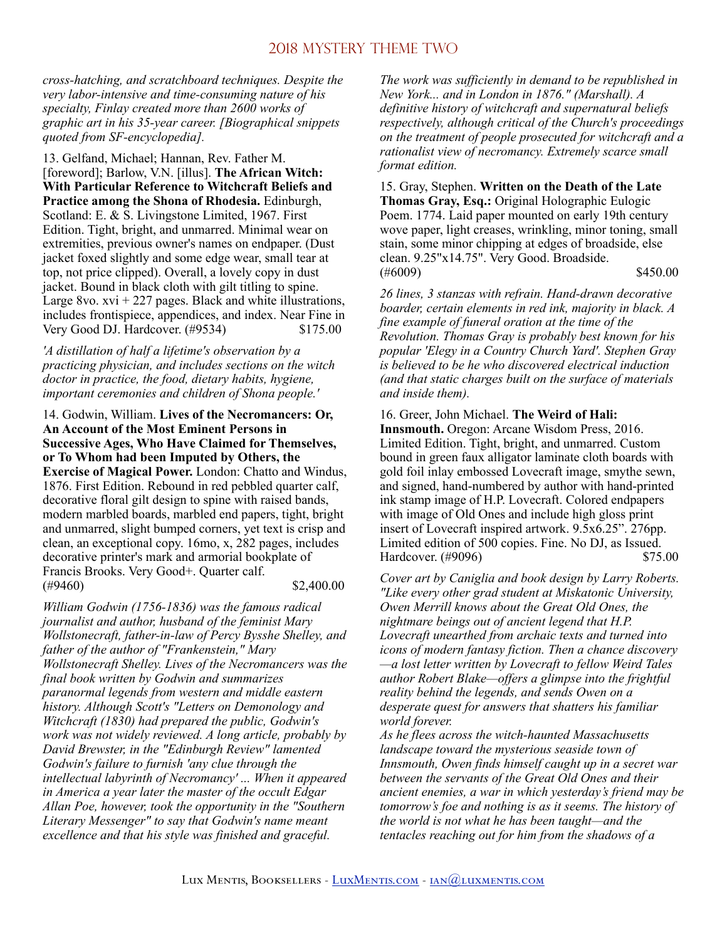*cross-hatching, and scratchboard techniques. Despite the very labor-intensive and time-consuming nature of his specialty, Finlay created more than 2600 works of graphic art in his 35-year career. [Biographical snippets quoted from SF-encyclopedia].* 

13. Gelfand, Michael; Hannan, Rev. Father M. [foreword]; Barlow, V.N. [illus]. **The African Witch: With Particular Reference to Witchcraft Beliefs and Practice among the Shona of Rhodesia.** Edinburgh, Scotland: E. & S. Livingstone Limited, 1967. First Edition. Tight, bright, and unmarred. Minimal wear on extremities, previous owner's names on endpaper. (Dust jacket foxed slightly and some edge wear, small tear at top, not price clipped). Overall, a lovely copy in dust jacket. Bound in black cloth with gilt titling to spine. Large 8vo.  $xvi + 227$  pages. Black and white illustrations, includes frontispiece, appendices, and index. Near Fine in Very Good DJ. Hardcover. (#9534) \$175.00

*'A distillation of half a lifetime's observation by a practicing physician, and includes sections on the witch doctor in practice, the food, dietary habits, hygiene, important ceremonies and children of Shona people.'* 

14. Godwin, William. **Lives of the Necromancers: Or, An Account of the Most Eminent Persons in Successive Ages, Who Have Claimed for Themselves, or To Whom had been Imputed by Others, the Exercise of Magical Power.** London: Chatto and Windus, 1876. First Edition. Rebound in red pebbled quarter calf, decorative floral gilt design to spine with raised bands, modern marbled boards, marbled end papers, tight, bright and unmarred, slight bumped corners, yet text is crisp and clean, an exceptional copy. 16mo, x, 282 pages, includes decorative printer's mark and armorial bookplate of Francis Brooks. Very Good+. Quarter calf.  $(*9460)$  \$2,400.00

*William Godwin (1756-1836) was the famous radical journalist and author, husband of the feminist Mary Wollstonecraft, father-in-law of Percy Bysshe Shelley, and father of the author of "Frankenstein," Mary Wollstonecraft Shelley. Lives of the Necromancers was the final book written by Godwin and summarizes paranormal legends from western and middle eastern history. Although Scott's "Letters on Demonology and Witchcraft (1830) had prepared the public, Godwin's work was not widely reviewed. A long article, probably by David Brewster, in the "Edinburgh Review" lamented Godwin's failure to furnish 'any clue through the intellectual labyrinth of Necromancy' ... When it appeared in America a year later the master of the occult Edgar Allan Poe, however, took the opportunity in the "Southern Literary Messenger" to say that Godwin's name meant excellence and that his style was finished and graceful.* 

*The work was sufficiently in demand to be republished in New York... and in London in 1876." (Marshall). A definitive history of witchcraft and supernatural beliefs respectively, although critical of the Church's proceedings on the treatment of people prosecuted for witchcraft and a rationalist view of necromancy. Extremely scarce small format edition.* 

15. Gray, Stephen. **Written on the Death of the Late Thomas Gray, Esq.:** Original Holographic Eulogic Poem. 1774. Laid paper mounted on early 19th century wove paper, light creases, wrinkling, minor toning, small stain, some minor chipping at edges of broadside, else clean. 9.25"x14.75". Very Good. Broadside.  $(*6009)$  \$450.00

*26 lines, 3 stanzas with refrain. Hand-drawn decorative boarder, certain elements in red ink, majority in black. A fine example of funeral oration at the time of the Revolution. Thomas Gray is probably best known for his popular 'Elegy in a Country Church Yard'. Stephen Gray is believed to be he who discovered electrical induction (and that static charges built on the surface of materials and inside them).* 

16. Greer, John Michael. **The Weird of Hali: Innsmouth.** Oregon: Arcane Wisdom Press, 2016. Limited Edition. Tight, bright, and unmarred. Custom bound in green faux alligator laminate cloth boards with gold foil inlay embossed Lovecraft image, smythe sewn, and signed, hand-numbered by author with hand-printed ink stamp image of H.P. Lovecraft. Colored endpapers with image of Old Ones and include high gloss print insert of Lovecraft inspired artwork. 9.5x6.25". 276pp. Limited edition of 500 copies. Fine. No DJ, as Issued. Hardcover. (#9096) \$75.00

*Cover art by Caniglia and book design by Larry Roberts. "Like every other grad student at Miskatonic University, Owen Merrill knows about the Great Old Ones, the nightmare beings out of ancient legend that H.P. Lovecraft unearthed from archaic texts and turned into icons of modern fantasy fiction. Then a chance discovery —a lost letter written by Lovecraft to fellow Weird Tales author Robert Blake—offers a glimpse into the frightful reality behind the legends, and sends Owen on a desperate quest for answers that shatters his familiar world forever.*

*As he flees across the witch-haunted Massachusetts landscape toward the mysterious seaside town of Innsmouth, Owen finds himself caught up in a secret war between the servants of the Great Old Ones and their ancient enemies, a war in which yesterday's friend may be tomorrow's foe and nothing is as it seems. The history of the world is not what he has been taught—and the tentacles reaching out for him from the shadows of a*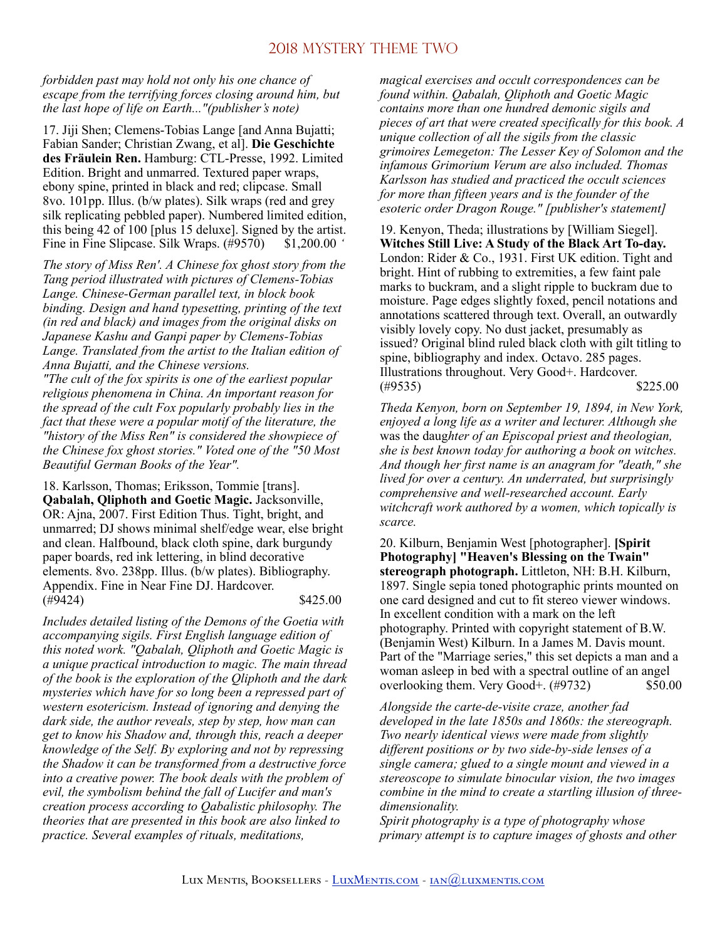*forbidden past may hold not only his one chance of escape from the terrifying forces closing around him, but the last hope of life on Earth..."(publisher's note)* 

17. Jiji Shen; Clemens-Tobias Lange [and Anna Bujatti; Fabian Sander; Christian Zwang, et al]. **Die Geschichte des Fräulein Ren.** Hamburg: CTL-Presse, 1992. Limited Edition. Bright and unmarred. Textured paper wraps, ebony spine, printed in black and red; clipcase. Small 8vo. 101pp. Illus. (b/w plates). Silk wraps (red and grey silk replicating pebbled paper). Numbered limited edition, this being 42 of 100 [plus 15 deluxe]. Signed by the artist. Fine in Fine Slipcase. Silk Wraps. (#9570) \$1,200.00 *'* 

*The story of Miss Ren'. A Chinese fox ghost story from the Tang period illustrated with pictures of Clemens-Tobias Lange. Chinese-German parallel text, in block book binding. Design and hand typesetting, printing of the text (in red and black) and images from the original disks on Japanese Kashu and Ganpi paper by Clemens-Tobias Lange. Translated from the artist to the Italian edition of Anna Bujatti, and the Chinese versions.*

*"The cult of the fox spirits is one of the earliest popular religious phenomena in China. An important reason for the spread of the cult Fox popularly probably lies in the fact that these were a popular motif of the literature, the "history of the Miss Ren" is considered the showpiece of the Chinese fox ghost stories." Voted one of the "50 Most Beautiful German Books of the Year".* 

18. Karlsson, Thomas; Eriksson, Tommie [trans]. **Qabalah, Qliphoth and Goetic Magic.** Jacksonville, OR: Ajna, 2007. First Edition Thus. Tight, bright, and unmarred; DJ shows minimal shelf/edge wear, else bright and clean. Halfbound, black cloth spine, dark burgundy paper boards, red ink lettering, in blind decorative elements. 8vo. 238pp. Illus. (b/w plates). Bibliography. Appendix. Fine in Near Fine DJ. Hardcover. (#9424) \$425.00

*Includes detailed listing of the Demons of the Goetia with accompanying sigils. First English language edition of this noted work. "Qabalah, Qliphoth and Goetic Magic is a unique practical introduction to magic. The main thread of the book is the exploration of the Qliphoth and the dark mysteries which have for so long been a repressed part of western esotericism. Instead of ignoring and denying the dark side, the author reveals, step by step, how man can get to know his Shadow and, through this, reach a deeper knowledge of the Self. By exploring and not by repressing the Shadow it can be transformed from a destructive force into a creative power. The book deals with the problem of evil, the symbolism behind the fall of Lucifer and man's creation process according to Qabalistic philosophy. The theories that are presented in this book are also linked to practice. Several examples of rituals, meditations,* 

*magical exercises and occult correspondences can be found within. Qabalah, Qliphoth and Goetic Magic contains more than one hundred demonic sigils and pieces of art that were created specifically for this book. A unique collection of all the sigils from the classic grimoires Lemegeton: The Lesser Key of Solomon and the infamous Grimorium Verum are also included. Thomas Karlsson has studied and practiced the occult sciences for more than fifteen years and is the founder of the esoteric order Dragon Rouge." [publisher's statement]* 

19. Kenyon, Theda; illustrations by [William Siegel]. **Witches Still Live: A Study of the Black Art To-day.**  London: Rider & Co., 1931. First UK edition. Tight and bright. Hint of rubbing to extremities, a few faint pale marks to buckram, and a slight ripple to buckram due to moisture. Page edges slightly foxed, pencil notations and annotations scattered through text. Overall, an outwardly visibly lovely copy. No dust jacket, presumably as issued? Original blind ruled black cloth with gilt titling to spine, bibliography and index. Octavo. 285 pages. Illustrations throughout. Very Good+. Hardcover.  $(*9535)$  \$225.00

*Theda Kenyon, born on September 19, 1894, in New York, enjoyed a long life as a writer and lecturer. Although she*  was the daug*hter of an Episcopal priest and theologian, she is best known today for authoring a book on witches. And though her first name is an anagram for "death," she lived for over a century. An underrated, but surprisingly comprehensive and well-researched account. Early witchcraft work authored by a women, which topically is scarce.* 

20. Kilburn, Benjamin West [photographer]. **[Spirit Photography] "Heaven's Blessing on the Twain" stereograph photograph.** Littleton, NH: B.H. Kilburn, 1897. Single sepia toned photographic prints mounted on one card designed and cut to fit stereo viewer windows. In excellent condition with a mark on the left photography. Printed with copyright statement of B.W. (Benjamin West) Kilburn. In a James M. Davis mount. Part of the "Marriage series," this set depicts a man and a woman asleep in bed with a spectral outline of an angel overlooking them. Very Good+. (#9732) \$50.00

*Alongside the carte-de-visite craze, another fad developed in the late 1850s and 1860s: the stereograph. Two nearly identical views were made from slightly different positions or by two side-by-side lenses of a single camera; glued to a single mount and viewed in a stereoscope to simulate binocular vision, the two images combine in the mind to create a startling illusion of threedimensionality.* 

*Spirit photography is a type of photography whose primary attempt is to capture images of ghosts and other*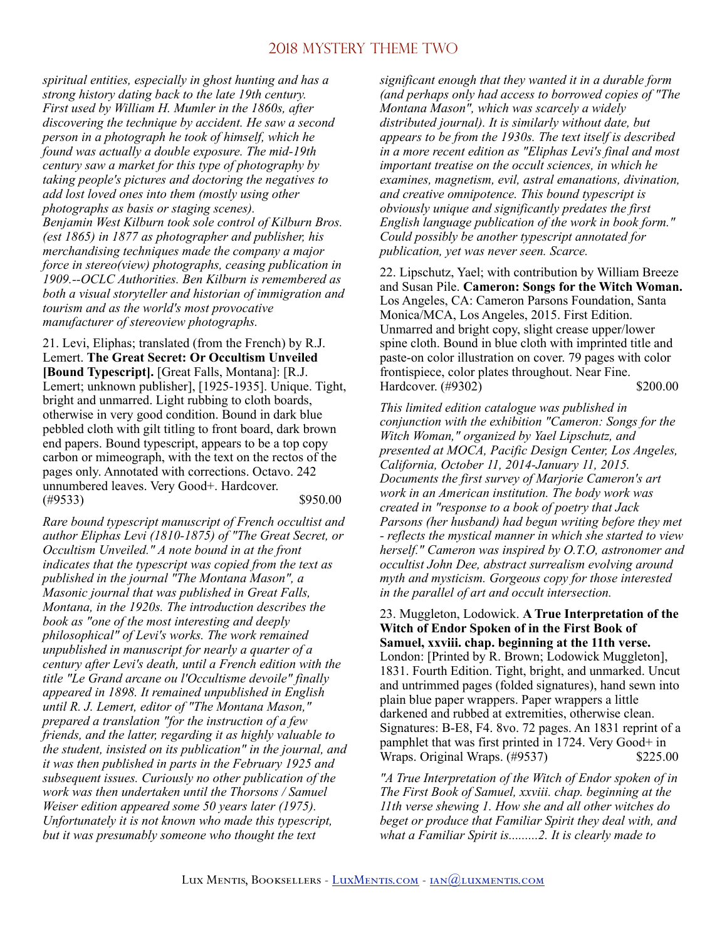*spiritual entities, especially in ghost hunting and has a strong history dating back to the late 19th century. First used by William H. Mumler in the 1860s, after discovering the technique by accident. He saw a second person in a photograph he took of himself, which he found was actually a double exposure. The mid-19th century saw a market for this type of photography by taking people's pictures and doctoring the negatives to add lost loved ones into them (mostly using other photographs as basis or staging scenes). Benjamin West Kilburn took sole control of Kilburn Bros. (est 1865) in 1877 as photographer and publisher, his merchandising techniques made the company a major force in stereo(view) photographs, ceasing publication in 1909.--OCLC Authorities. Ben Kilburn is remembered as both a visual storyteller and historian of immigration and tourism and as the world's most provocative manufacturer of stereoview photographs.* 

21. Levi, Eliphas; translated (from the French) by R.J. Lemert. **The Great Secret: Or Occultism Unveiled [Bound Typescript].** [Great Falls, Montana]: [R.J. Lemert; unknown publisher], [1925-1935]. Unique. Tight, bright and unmarred. Light rubbing to cloth boards, otherwise in very good condition. Bound in dark blue pebbled cloth with gilt titling to front board, dark brown end papers. Bound typescript, appears to be a top copy carbon or mimeograph, with the text on the rectos of the pages only. Annotated with corrections. Octavo. 242 unnumbered leaves. Very Good+. Hardcover. (#9533) \$950.00

*Rare bound typescript manuscript of French occultist and author Eliphas Levi (1810-1875) of "The Great Secret, or Occultism Unveiled." A note bound in at the front indicates that the typescript was copied from the text as published in the journal "The Montana Mason", a Masonic journal that was published in Great Falls, Montana, in the 1920s. The introduction describes the book as "one of the most interesting and deeply philosophical" of Levi's works. The work remained unpublished in manuscript for nearly a quarter of a century after Levi's death, until a French edition with the title "Le Grand arcane ou l'Occultisme devoile" finally appeared in 1898. It remained unpublished in English until R. J. Lemert, editor of "The Montana Mason," prepared a translation "for the instruction of a few friends, and the latter, regarding it as highly valuable to the student, insisted on its publication" in the journal, and it was then published in parts in the February 1925 and subsequent issues. Curiously no other publication of the work was then undertaken until the Thorsons / Samuel Weiser edition appeared some 50 years later (1975). Unfortunately it is not known who made this typescript, but it was presumably someone who thought the text* 

*significant enough that they wanted it in a durable form (and perhaps only had access to borrowed copies of "The Montana Mason", which was scarcely a widely distributed journal). It is similarly without date, but appears to be from the 1930s. The text itself is described in a more recent edition as "Eliphas Levi's final and most important treatise on the occult sciences, in which he examines, magnetism, evil, astral emanations, divination, and creative omnipotence. This bound typescript is obviously unique and significantly predates the first English language publication of the work in book form." Could possibly be another typescript annotated for publication, yet was never seen. Scarce.* 

22. Lipschutz, Yael; with contribution by William Breeze and Susan Pile. **Cameron: Songs for the Witch Woman.**  Los Angeles, CA: Cameron Parsons Foundation, Santa Monica/MCA, Los Angeles, 2015. First Edition. Unmarred and bright copy, slight crease upper/lower spine cloth. Bound in blue cloth with imprinted title and paste-on color illustration on cover. 79 pages with color frontispiece, color plates throughout. Near Fine. Hardcover. (#9302) \$200.00

*This limited edition catalogue was published in conjunction with the exhibition "Cameron: Songs for the Witch Woman," organized by Yael Lipschutz, and presented at MOCA, Pacific Design Center, Los Angeles, California, October 11, 2014-January 11, 2015. Documents the first survey of Marjorie Cameron's art work in an American institution. The body work was created in "response to a book of poetry that Jack Parsons (her husband) had begun writing before they met - reflects the mystical manner in which she started to view herself." Cameron was inspired by O.T.O, astronomer and occultist John Dee, abstract surrealism evolving around myth and mysticism. Gorgeous copy for those interested in the parallel of art and occult intersection.* 

23. Muggleton, Lodowick. **A True Interpretation of the Witch of Endor Spoken of in the First Book of Samuel, xxviii. chap. beginning at the 11th verse.**  London: [Printed by R. Brown; Lodowick Muggleton], 1831. Fourth Edition. Tight, bright, and unmarked. Uncut and untrimmed pages (folded signatures), hand sewn into plain blue paper wrappers. Paper wrappers a little darkened and rubbed at extremities, otherwise clean. Signatures: B-E8, F4. 8vo. 72 pages. An 1831 reprint of a pamphlet that was first printed in 1724. Very Good+ in Wraps. Original Wraps. (#9537) \$225.00

*"A True Interpretation of the Witch of Endor spoken of in The First Book of Samuel, xxviii. chap. beginning at the 11th verse shewing 1. How she and all other witches do beget or produce that Familiar Spirit they deal with, and what a Familiar Spirit is.........2. It is clearly made to*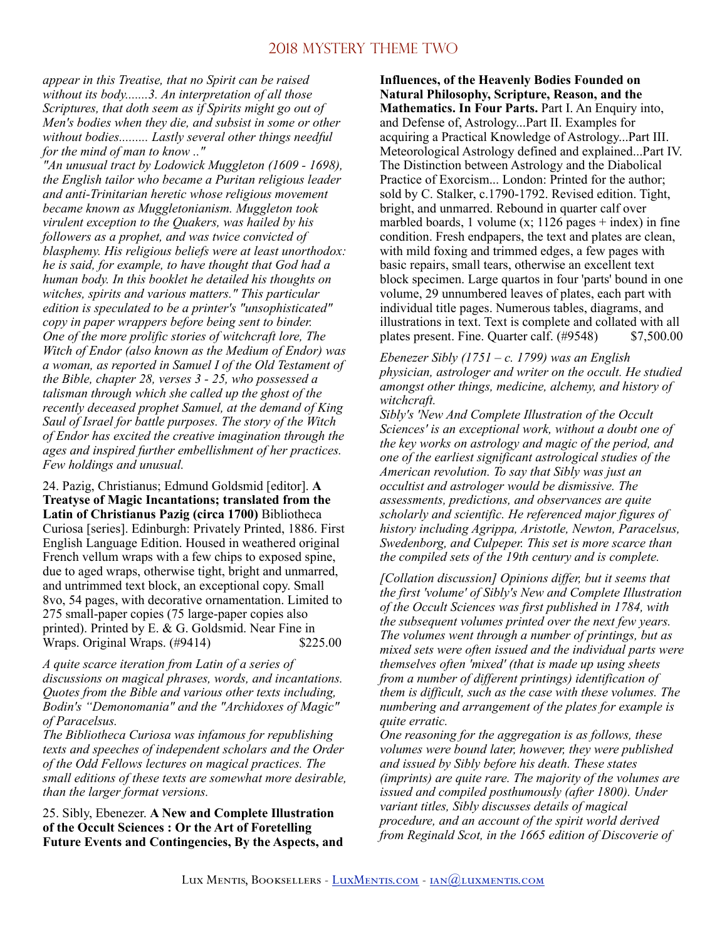*appear in this Treatise, that no Spirit can be raised without its body.......3. An interpretation of all those Scriptures, that doth seem as if Spirits might go out of Men's bodies when they die, and subsist in some or other without bodies......... Lastly several other things needful for the mind of man to know .."* 

*"An unusual tract by Lodowick Muggleton (1609 - 1698), the English tailor who became a Puritan religious leader and anti-Trinitarian heretic whose religious movement became known as Muggletonianism. Muggleton took virulent exception to the Quakers, was hailed by his followers as a prophet, and was twice convicted of blasphemy. His religious beliefs were at least unorthodox: he is said, for example, to have thought that God had a human body. In this booklet he detailed his thoughts on witches, spirits and various matters." This particular edition is speculated to be a printer's "unsophisticated" copy in paper wrappers before being sent to binder. One of the more prolific stories of witchcraft lore, The Witch of Endor (also known as the Medium of Endor) was a woman, as reported in Samuel I of the Old Testament of the Bible, chapter 28, verses 3 - 25, who possessed a talisman through which she called up the ghost of the recently deceased prophet Samuel, at the demand of King Saul of Israel for battle purposes. The story of the Witch of Endor has excited the creative imagination through the ages and inspired further embellishment of her practices. Few holdings and unusual.* 

24. Pazig, Christianus; Edmund Goldsmid [editor]. **A Treatyse of Magic Incantations; translated from the Latin of Christianus Pazig (circa 1700)** Bibliotheca Curiosa [series]. Edinburgh: Privately Printed, 1886. First English Language Edition. Housed in weathered original French vellum wraps with a few chips to exposed spine, due to aged wraps, otherwise tight, bright and unmarred, and untrimmed text block, an exceptional copy. Small 8vo, 54 pages, with decorative ornamentation. Limited to 275 small-paper copies (75 large-paper copies also printed). Printed by E. & G. Goldsmid. Near Fine in Wraps. Original Wraps. (#9414) \$225.00

*A quite scarce iteration from Latin of a series of discussions on magical phrases, words, and incantations. Quotes from the Bible and various other texts including, Bodin's "Demonomania" and the "Archidoxes of Magic" of Paracelsus.* 

*The Bibliotheca Curiosa was infamous for republishing texts and speeches of independent scholars and the Order of the Odd Fellows lectures on magical practices. The small editions of these texts are somewhat more desirable, than the larger format versions.* 

25. Sibly, Ebenezer. **A New and Complete Illustration of the Occult Sciences : Or the Art of Foretelling Future Events and Contingencies, By the Aspects, and** 

**Influences, of the Heavenly Bodies Founded on Natural Philosophy, Scripture, Reason, and the Mathematics. In Four Parts.** Part I. An Enquiry into, and Defense of, Astrology...Part II. Examples for acquiring a Practical Knowledge of Astrology...Part III. Meteorological Astrology defined and explained...Part IV. The Distinction between Astrology and the Diabolical Practice of Exorcism... London: Printed for the author; sold by C. Stalker, c.1790-1792. Revised edition. Tight, bright, and unmarred. Rebound in quarter calf over marbled boards, 1 volume  $(x; 1126$  pages + index) in fine condition. Fresh endpapers, the text and plates are clean, with mild foxing and trimmed edges, a few pages with basic repairs, small tears, otherwise an excellent text block specimen. Large quartos in four 'parts' bound in one volume, 29 unnumbered leaves of plates, each part with individual title pages. Numerous tables, diagrams, and illustrations in text. Text is complete and collated with all plates present. Fine. Quarter calf. (#9548) \$7,500.00

*Ebenezer Sibly (1751 – c. 1799) was an English physician, astrologer and writer on the occult. He studied amongst other things, medicine, alchemy, and history of witchcraft.* 

*Sibly's 'New And Complete Illustration of the Occult Sciences' is an exceptional work, without a doubt one of the key works on astrology and magic of the period, and one of the earliest significant astrological studies of the American revolution. To say that Sibly was just an occultist and astrologer would be dismissive. The assessments, predictions, and observances are quite scholarly and scientific. He referenced major figures of history including Agrippa, Aristotle, Newton, Paracelsus, Swedenborg, and Culpeper. This set is more scarce than the compiled sets of the 19th century and is complete.* 

*[Collation discussion] Opinions differ, but it seems that the first 'volume' of Sibly's New and Complete Illustration of the Occult Sciences was first published in 1784, with the subsequent volumes printed over the next few years. The volumes went through a number of printings, but as mixed sets were often issued and the individual parts were themselves often 'mixed' (that is made up using sheets from a number of different printings) identification of them is difficult, such as the case with these volumes. The numbering and arrangement of the plates for example is quite erratic.* 

*One reasoning for the aggregation is as follows, these volumes were bound later, however, they were published and issued by Sibly before his death. These states (imprints) are quite rare. The majority of the volumes are issued and compiled posthumously (after 1800). Under variant titles, Sibly discusses details of magical procedure, and an account of the spirit world derived from Reginald Scot, in the 1665 edition of Discoverie of*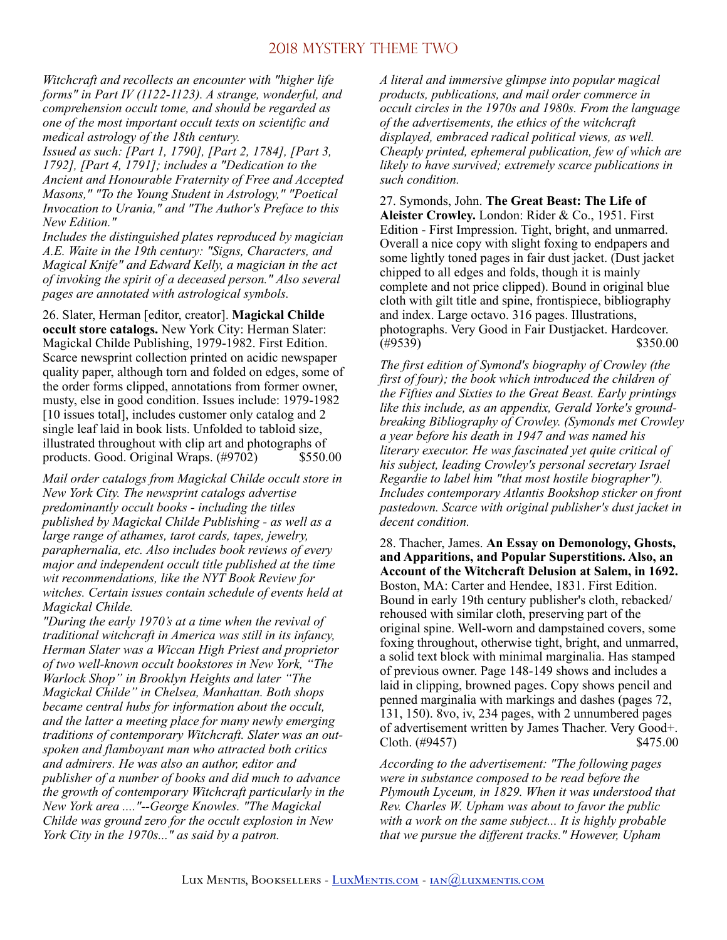*Witchcraft and recollects an encounter with "higher life forms" in Part IV (1122-1123). A strange, wonderful, and comprehension occult tome, and should be regarded as one of the most important occult texts on scientific and medical astrology of the 18th century.* 

*Issued as such: [Part 1, 1790], [Part 2, 1784], [Part 3, 1792], [Part 4, 1791]; includes a "Dedication to the Ancient and Honourable Fraternity of Free and Accepted Masons," "To the Young Student in Astrology," "Poetical Invocation to Urania," and "The Author's Preface to this New Edition."* 

*Includes the distinguished plates reproduced by magician A.E. Waite in the 19th century: "Signs, Characters, and Magical Knife" and Edward Kelly, a magician in the act of invoking the spirit of a deceased person." Also several pages are annotated with astrological symbols.* 

26. Slater, Herman [editor, creator]. **Magickal Childe occult store catalogs.** New York City: Herman Slater: Magickal Childe Publishing, 1979-1982. First Edition. Scarce newsprint collection printed on acidic newspaper quality paper, although torn and folded on edges, some of the order forms clipped, annotations from former owner, musty, else in good condition. Issues include: 1979-1982 [10 issues total], includes customer only catalog and 2 single leaf laid in book lists. Unfolded to tabloid size, illustrated throughout with clip art and photographs of products. Good. Original Wraps. (#9702) \$550.00

*Mail order catalogs from Magickal Childe occult store in New York City. The newsprint catalogs advertise predominantly occult books - including the titles published by Magickal Childe Publishing - as well as a large range of athames, tarot cards, tapes, jewelry, paraphernalia, etc. Also includes book reviews of every major and independent occult title published at the time wit recommendations, like the NYT Book Review for witches. Certain issues contain schedule of events held at Magickal Childe.* 

*"During the early 1970's at a time when the revival of traditional witchcraft in America was still in its infancy, Herman Slater was a Wiccan High Priest and proprietor of two well-known occult bookstores in New York, "The Warlock Shop" in Brooklyn Heights and later "The Magickal Childe" in Chelsea, Manhattan. Both shops became central hubs for information about the occult, and the latter a meeting place for many newly emerging traditions of contemporary Witchcraft. Slater was an outspoken and flamboyant man who attracted both critics and admirers. He was also an author, editor and publisher of a number of books and did much to advance the growth of contemporary Witchcraft particularly in the New York area ...."--George Knowles. "The Magickal Childe was ground zero for the occult explosion in New York City in the 1970s..." as said by a patron.* 

*A literal and immersive glimpse into popular magical products, publications, and mail order commerce in occult circles in the 1970s and 1980s. From the language of the advertisements, the ethics of the witchcraft displayed, embraced radical political views, as well. Cheaply printed, ephemeral publication, few of which are likely to have survived; extremely scarce publications in such condition.* 

27. Symonds, John. **The Great Beast: The Life of Aleister Crowley.** London: Rider & Co., 1951. First Edition - First Impression. Tight, bright, and unmarred. Overall a nice copy with slight foxing to endpapers and some lightly toned pages in fair dust jacket. (Dust jacket chipped to all edges and folds, though it is mainly complete and not price clipped). Bound in original blue cloth with gilt title and spine, frontispiece, bibliography and index. Large octavo. 316 pages. Illustrations, photographs. Very Good in Fair Dustjacket. Hardcover.  $(\#9539)$  \$350.00

*The first edition of Symond's biography of Crowley (the first of four); the book which introduced the children of the Fifties and Sixties to the Great Beast. Early printings like this include, as an appendix, Gerald Yorke's groundbreaking Bibliography of Crowley. (Symonds met Crowley a year before his death in 1947 and was named his literary executor. He was fascinated yet quite critical of his subject, leading Crowley's personal secretary Israel Regardie to label him "that most hostile biographer"). Includes contemporary Atlantis Bookshop sticker on front pastedown. Scarce with original publisher's dust jacket in decent condition.* 

28. Thacher, James. **An Essay on Demonology, Ghosts, and Apparitions, and Popular Superstitions. Also, an Account of the Witchcraft Delusion at Salem, in 1692.**  Boston, MA: Carter and Hendee, 1831. First Edition. Bound in early 19th century publisher's cloth, rebacked/ rehoused with similar cloth, preserving part of the original spine. Well-worn and dampstained covers, some foxing throughout, otherwise tight, bright, and unmarred, a solid text block with minimal marginalia. Has stamped of previous owner. Page 148-149 shows and includes a laid in clipping, browned pages. Copy shows pencil and penned marginalia with markings and dashes (pages 72, 131, 150). 8vo, iv, 234 pages, with 2 unnumbered pages of advertisement written by James Thacher. Very Good+. Cloth.  $(\#9457)$  \$475.00

*According to the advertisement: "The following pages were in substance composed to be read before the Plymouth Lyceum, in 1829. When it was understood that Rev. Charles W. Upham was about to favor the public with a work on the same subject... It is highly probable that we pursue the different tracks." However, Upham*